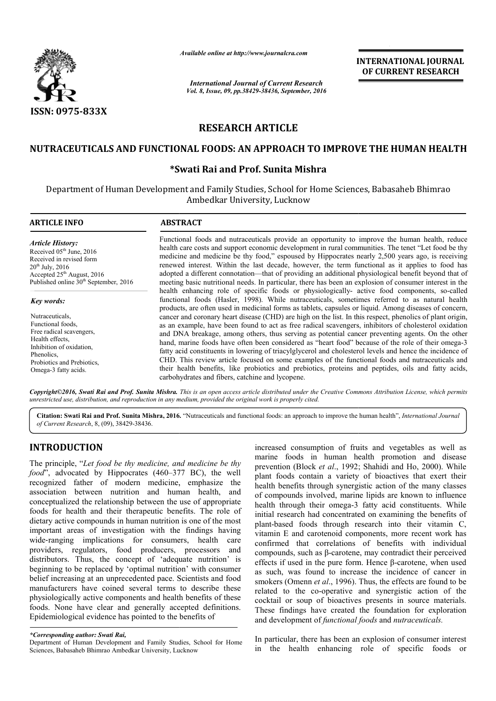

*Available online at http://www.journalcra.com*

*International Journal of Current Research Vol. 8, Issue, 09, pp.38429-38436, September, 2016* INTERNATIONAL JOURNAL OF CURRENT RESEARCH

# RESEARCH ARTICLE

## NUTRACEUTICALS AND FUNCTIONAL FOODS: AN APPROACH TO IMPROVE THE HUMAN HEALTH HUMAN

## \*Swati Rai Swati and Prof. Sunita Mishra

Department of Human Development and Family Studies, School for Home Sciences, Babasaheb Bhimrao Ambedkar University, Lucknow

| <b>ARTICLE INFO</b>                               | <b>ABSTRACT</b>                                                                                                                                                                                                                                                                                           |
|---------------------------------------------------|-----------------------------------------------------------------------------------------------------------------------------------------------------------------------------------------------------------------------------------------------------------------------------------------------------------|
| <b>Article History:</b>                           | Functional foods and nutraceuticals provide an opportunity to improve the human health, reduce                                                                                                                                                                                                            |
| Received $05th$ June, 2016                        | health care costs and support economic development in rural communities. The tenet "Let food be thy                                                                                                                                                                                                       |
| Received in revised form                          | medicine and medicine be thy food," espoused by Hippocrates nearly 2,500 years ago, is receiving                                                                                                                                                                                                          |
| $20^{th}$ July, 2016                              | renewed interest. Within the last decade, however, the term functional as it applies to food has                                                                                                                                                                                                          |
| Accepted $25th$ August, 2016                      | adopted a different connotation—that of providing an additional physiological benefit beyond that of                                                                                                                                                                                                      |
| Published online 30 <sup>th</sup> September, 2016 | meeting basic nutritional needs. In particular, there has been an explosion of consumer interest in the                                                                                                                                                                                                   |
| Key words:                                        | health enhancing role of specific foods or physiologically- active food components, so-called<br>functional foods (Hasler, 1998). While nutraceuticals, sometimes referred to as natural health<br>products, are often used in medicinal forms as tablets, capsules or liquid. Among diseases of concern, |
| Nutraceuticals.                                   | cancer and coronary heart disease (CHD) are high on the list. In this respect, phenolics of plant origin,                                                                                                                                                                                                 |
| Functional foods.                                 | as an example, have been found to act as free radical scavengers, inhibitors of cholesterol oxidation                                                                                                                                                                                                     |
| Free radical scavengers,                          | and DNA breakage, among others, thus serving as potential cancer preventing agents. On the other                                                                                                                                                                                                          |
| Health effects.                                   | hand, marine foods have often been considered as "heart food" because of the role of their omega-3                                                                                                                                                                                                        |
| Inhibition of oxidation,                          | fatty acid constituents in lowering of triacylglycerol and cholesterol levels and hence the incidence of                                                                                                                                                                                                  |
| Phenolics.                                        | CHD. This review article focused on some examples of the functional foods and nutraceuticals and                                                                                                                                                                                                          |
| Probiotics and Prebiotics.                        | their health benefits, like probiotics and prebiotics, proteins and peptides, oils and fatty acids,                                                                                                                                                                                                       |
| Omega-3 fatty acids.                              | carbohydrates and fibers, catchine and lycopene.                                                                                                                                                                                                                                                          |

*Copyright©2016, Swati Rai and Prof. Sunita Mishra. This is an open access article distributed under the Creative Commons Att Attribution License, which permits unrestricted use, distribution, and reproduction in any medium, provided the original work is properly cited.*

Citation: Swati Rai and Prof. Sunita Mishra, 2016. "Nutraceuticals and functional foods: an approach to improve the human health", *International Journal of Current Research*, 8, (09), 38429-38436.

# INTRODUCTION

The principle, "*Let food be thy medicine, and medicine be thy food*", advocated by Hippocrates (460–377 BC), the well recognized father of modern medicine, emphasize the association between nutrition and human health, and conceptualized the relationship between the use of appropriate foods for health and their therapeutic benefits. Th dietary active compounds in human nutrition is one of the most important areas of investigation with the findings having wide-ranging implications for consumers, health care providers, regulators, food producers, processors and distributors. Thus, the concept of 'adequate nutrition' is beginning to be replaced by 'optimal nutrition' with consumer belief increasing at an unprecedented pace. Scientists and food manufacturers have coined several terms to describe these physiologically active components and health benefits of these foods. None have clear and generally accepted definitions. Epidemiological evidence has pointed to the benefits of 377 BC), the well<br>ne, emphasize the<br>uman health, and<br>ne use of appropriate<br>enefits. The role of

**TRODUCTION**<br>
increased consumption of fruits and vegetables as well as<br>
primciple, "Let food be thy medicine, and medicine be thy<br>
marine foods in human health promotion and disease<br>
or principle, "Let food be thy involv marine foods in human health promotion and disease prevention (Block *et al.*, 1992; Shahidi and Ho, 2000). While plant foods contain a variety of bioactives that exert their health benefits through synergistic action of the many classes of compounds involved, marine lipids are known to influence plant foods contain a variety of bioactives that exert their<br>health benefits through synergistic action of the many classes<br>of compounds involved, marine lipids are known to influence<br>health through their omega-3 fatty aci initial research had concentrated on examining the benefits of plant-based foods through research into their vitamin C, vitamin E and carotenoid components, more recent work has confirmed that correlations of benefits with individual compounds, such as β-carotene, may contradict their perceived effects if used in the pure form. Hence  $\beta$ -carotene, when used as such, was found to increase the incidence of cancer in smokers (Omenn *et al*., 1996). Thus, the effects are found to be related to the co-operative and synergistic action of the cocktail or soup of bioactives presents in source materials. These findings have created the foundation for exploration and development of *functional foods*  consumption of fruits and vegetables as well as  $p$  ods in human health promotion and disease (Block *et al.*, 1992; Shahidi and Ho, 2000). While research had concentrated on examining the benefits of based foods through research into their vitamin C, in E and carotenoid components, more recent work has med that correlations of benefits with individual ounds, such was found to increase the incidence of cancer in (Omenn *et al.*, 1996). Thus, the effects are found to be object the co-operative and synergistic action of the or soup of bioactives presents in source materials.<br>Indings h **EXERVATIONAL JOURNAL COFF CURRENT RESEARCH**<br> **CF CURRENT RESEARCH**<br> **CF CURRENT RESEARCH**<br> **ESPLOSE CONSUMBERT SESS ARCH**<br> **ESPLOSE CONSUMBERT SESS ARCH**<br> **ESPLOSE CONSUMBERT SEVENT CONSUMPATION**<br> **CEVALUTE:** THE tend th

In particular, there has been an explosion of consumer interest in the health enhancing role of specific foods or

*<sup>\*</sup>Corresponding author: Swati Rai,* 

Department of Human Development and Family Studies, School for Home Sciences, Babasaheb Bhimrao Ambedkar University, Lucknow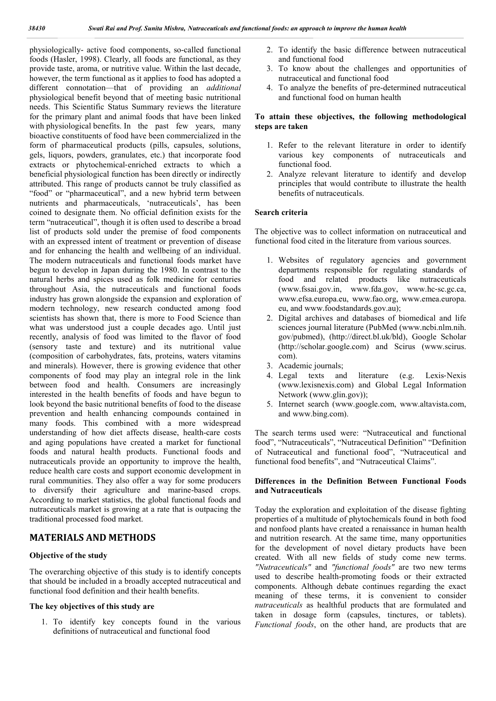physiologically- active food components, so-called functional foods (Hasler, 1998). Clearly, all foods are functional, as they provide taste, aroma, or nutritive value. Within the last decade, however, the term functional as it applies to food has adopted a different connotation—that of providing an *additional*  physiological benefit beyond that of meeting basic nutritional needs. This Scientific Status Summary reviews the literature for the primary plant and animal foods that have been linked with physiological benefits. In the past few years, many bioactive constituents of food have been commercialized in the form of pharmaceutical products (pills, capsules, solutions, gels, liquors, powders, granulates, etc.) that incorporate food extracts or phytochemical-enriched extracts to which a beneficial physiological function has been directly or indirectly attributed. This range of products cannot be truly classified as "food" or "pharmaceutical", and a new hybrid term between nutrients and pharmaceuticals, 'nutraceuticals', has been coined to designate them. No official definition exists for the term "nutraceutical", though it is often used to describe a broad list of products sold under the premise of food components with an expressed intent of treatment or prevention of disease and for enhancing the health and wellbeing of an individual. The modern nutraceuticals and functional foods market have begun to develop in Japan during the 1980. In contrast to the natural herbs and spices used as folk medicine for centuries throughout Asia, the nutraceuticals and functional foods industry has grown alongside the expansion and exploration of modern technology, new research conducted among food scientists has shown that, there is more to Food Science than what was understood just a couple decades ago. Until just recently, analysis of food was limited to the flavor of food (sensory taste and texture) and its nutritional value (composition of carbohydrates, fats, proteins, waters vitamins and minerals). However, there is growing evidence that other components of food may play an integral role in the link between food and health. Consumers are increasingly interested in the health benefits of foods and have begun to look beyond the basic nutritional benefits of food to the disease prevention and health enhancing compounds contained in many foods. This combined with a more widespread understanding of how diet affects disease, health-care costs and aging populations have created a market for functional foods and natural health products. Functional foods and nutraceuticals provide an opportunity to improve the health, reduce health care costs and support economic development in rural communities. They also offer a way for some producers to diversify their agriculture and marine-based crops. According to market statistics, the global functional foods and nutraceuticals market is growing at a rate that is outpacing the traditional processed food market.

## MATERIALS AND METHODS

### Objective of the study

The overarching objective of this study is to identify concepts that should be included in a broadly accepted nutraceutical and functional food definition and their health benefits.

#### The key objectives of this study are

1. To identify key concepts found in the various definitions of nutraceutical and functional food

- 2. To identify the basic difference between nutraceutical and functional food
- 3. To know about the challenges and opportunities of nutraceutical and functional food
- 4. To analyze the benefits of pre-determined nutraceutical and functional food on human health

### To attain these objectives, the following methodological steps are taken

- 1. Refer to the relevant literature in order to identify various key components of nutraceuticals and functional food.
- 2. Analyze relevant literature to identify and develop principles that would contribute to illustrate the health benefits of nutraceuticals.

#### Search criteria

The objective was to collect information on nutraceutical and functional food cited in the literature from various sources.

- 1. Websites of regulatory agencies and government departments responsible for regulating standards of food and related products like nutraceuticals (www.fssai.gov.in, www.fda.gov, www.hc‐sc.gc.ca, www.efsa.europa.eu, www.fao.org, www.emea.europa. eu, and www.foodstandards.gov.au);
- 2. Digital archives and databases of biomedical and life sciences journal literature (PubMed (www.ncbi.nlm.nih. gov/pubmed), (http://direct.bl.uk/bld), Google Scholar (http://scholar.google.com) and Scirus (www.scirus. com).
- 3. Academic journals;
- 4. Legal texts and literature (e.g. Lexis‐Nexis (www.lexisnexis.com) and Global Legal Information Network (www.glin.gov));
- 5. Internet search (www.google.com, www.altavista.com, and www.bing.com).

The search terms used were: "Nutraceutical and functional food", "Nutraceuticals", "Nutraceutical Definition" "Definition of Nutraceutical and functional food", "Nutraceutical and functional food benefits", and "Nutraceutical Claims".

### Differences in the Definition Between Functional Foods and Nutraceuticals

Today the exploration and exploitation of the disease fighting properties of a multitude of phytochemicals found in both food and nonfood plants have created a renaissance in human health and nutrition research. At the same time, many opportunities for the development of novel dietary products have been created. With all new fields of study come new terms. *"Nutraceuticals"* and *"functional foods"* are two new terms used to describe health-promoting foods or their extracted components. Although debate continues regarding the exact meaning of these terms, it is convenient to consider *nutraceuticals* as healthful products that are formulated and taken in dosage form (capsules, tinctures, or tablets). *Functional foods*, on the other hand, are products that are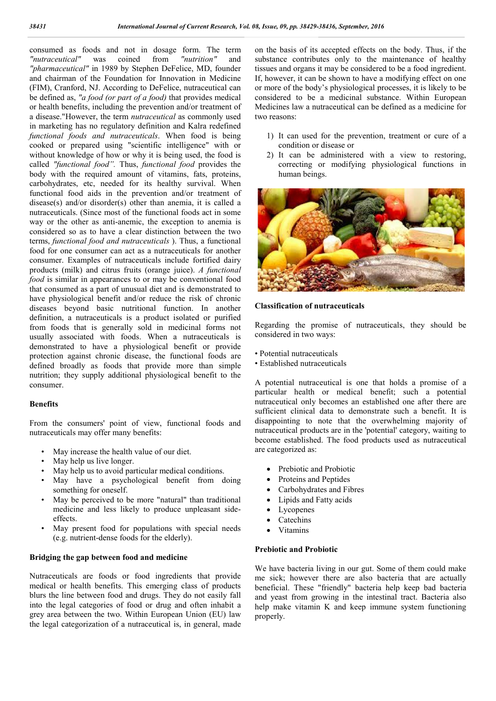consumed as foods and not in dosage form. The term<br>"nutraceutical" was coined from "nutrition" and coined from *"nutrition"* and *"pharmaceutical"* in 1989 by Stephen DeFelice, MD, founder and chairman of the Foundation for Innovation in Medicine (FIM), Cranford, NJ. According to DeFelice, nutraceutical can be defined as, *"a food (or part of a food)* that provides medical or health benefits, including the prevention and/or treatment of a disease."However, the term *nutraceutical* as commonly used in marketing has no regulatory definition and Kalra redefined *functional foods and nutraceuticals*. When food is being cooked or prepared using "scientific intelligence" with or without knowledge of how or why it is being used, the food is called *"functional food".* Thus, *functional food* provides the body with the required amount of vitamins, fats, proteins, carbohydrates, etc, needed for its healthy survival. When functional food aids in the prevention and/or treatment of disease(s) and/or disorder(s) other than anemia, it is called a nutraceuticals. (Since most of the functional foods act in some way or the other as anti-anemic, the exception to anemia is considered so as to have a clear distinction between the two terms, *functional food and nutraceuticals* ). Thus, a functional food for one consumer can act as a nutraceuticals for another consumer. Examples of nutraceuticals include fortified dairy products (milk) and citrus fruits (orange juice). *A functional food* is similar in appearances to or may be conventional food that consumed as a part of unusual diet and is demonstrated to have physiological benefit and/or reduce the risk of chronic diseases beyond basic nutritional function. In another definition, a nutraceuticals is a product isolated or purified from foods that is generally sold in medicinal forms not usually associated with foods. When a nutraceuticals is demonstrated to have a physiological benefit or provide protection against chronic disease, the functional foods are defined broadly as foods that provide more than simple nutrition; they supply additional physiological benefit to the consumer.

### Benefits

From the consumers' point of view, functional foods and nutraceuticals may offer many benefits:

- May increase the health value of our diet.
- May help us live longer.
- May help us to avoid particular medical conditions.
- May have a psychological benefit from doing something for oneself.
- May be perceived to be more "natural" than traditional medicine and less likely to produce unpleasant sideeffects.
- May present food for populations with special needs (e.g. nutrient-dense foods for the elderly).

### Bridging the gap between food and medicine

Nutraceuticals are foods or food ingredients that provide medical or health benefits. This emerging class of products blurs the line between food and drugs. They do not easily fall into the legal categories of food or drug and often inhabit a grey area between the two. Within European Union (EU) law the legal categorization of a nutraceutical is, in general, made

on the basis of its accepted effects on the body. Thus, if the substance contributes only to the maintenance of healthy tissues and organs it may be considered to be a food ingredient. If, however, it can be shown to have a modifying effect on one or more of the body's physiological processes, it is likely to be considered to be a medicinal substance. Within European Medicines law a nutraceutical can be defined as a medicine for two reasons:

- 1) It can used for the prevention, treatment or cure of a condition or disease or
- 2) It can be administered with a view to restoring, correcting or modifying physiological functions in human beings.



### Classification of nutraceuticals

Regarding the promise of nutraceuticals, they should be considered in two ways:

• Potential nutraceuticals

• Established nutraceuticals

A potential nutraceutical is one that holds a promise of a particular health or medical benefit; such a potential nutraceutical only becomes an established one after there are sufficient clinical data to demonstrate such a benefit. It is disappointing to note that the overwhelming majority of nutraceutical products are in the 'potential' category, waiting to become established. The food products used as nutraceutical are categorized as:

- Prebiotic and Probiotic
- Proteins and Peptides
- Carbohydrates and Fibres
- Lipids and Fatty acids
- **Lycopenes**
- Catechins
- Vitamins

#### Prebiotic and Probiotic

We have bacteria living in our gut. Some of them could make me sick; however there are also bacteria that are actually beneficial. These "friendly" bacteria help keep bad bacteria and yeast from growing in the intestinal tract. Bacteria also help make vitamin K and keep immune system functioning properly.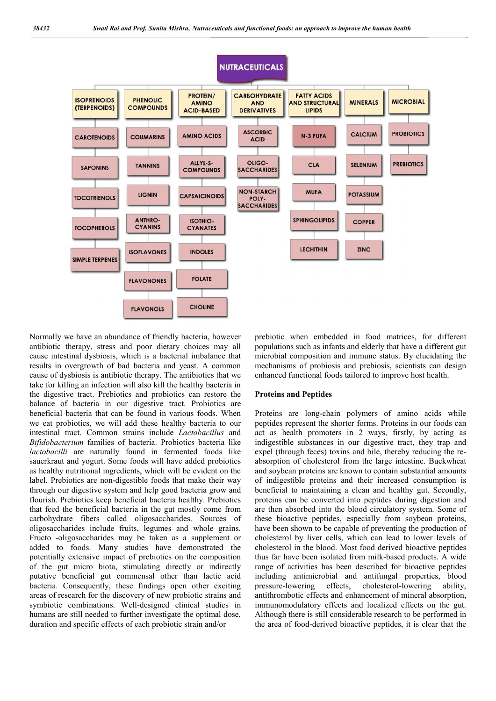

Normally we have an abundance of friendly bacteria, however antibiotic therapy, stress and poor dietary choices may all cause intestinal dysbiosis, which is a bacterial imbalance that results in overgrowth of bad bacteria and yeast. A common cause of dysbiosis is antibiotic therapy. The antibiotics that we take for killing an infection will also kill the healthy bacteria in the digestive tract. Prebiotics and probiotics can restore the balance of bacteria in our digestive tract. Probiotics are beneficial bacteria that can be found in various foods. When we eat probiotics, we will add these healthy bacteria to our intestinal tract. Common strains include *Lactobacillus* and *Bifidobacterium* families of bacteria. Probiotics bacteria like *lactobacilli* are naturally found in fermented foods like sauerkraut and yogurt. Some foods will have added probiotics as healthy nutritional ingredients, which will be evident on the label. Prebiotics are non-digestible foods that make their way through our digestive system and help good bacteria grow and flourish. Prebiotics keep beneficial bacteria healthy. Prebiotics that feed the beneficial bacteria in the gut mostly come from carbohydrate fibers called oligosaccharides. Sources of oligosaccharides include fruits, legumes and whole grains. Fructo -oligosaccharides may be taken as a supplement or added to foods. Many studies have demonstrated the potentially extensive impact of prebiotics on the composition of the gut micro biota, stimulating directly or indirectly putative beneficial gut commensal other than lactic acid bacteria. Consequently, these findings open other exciting areas of research for the discovery of new probiotic strains and symbiotic combinations. Well-designed clinical studies in humans are still needed to further investigate the optimal dose, duration and specific effects of each probiotic strain and/or

prebiotic when embedded in food matrices, for different populations such as infants and elderly that have a different gut microbial composition and immune status. By elucidating the mechanisms of probiosis and prebiosis, scientists can design enhanced functional foods tailored to improve host health.

#### Proteins and Peptides

Proteins are long-chain polymers of amino acids while peptides represent the shorter forms. Proteins in our foods can act as health promoters in 2 ways, firstly, by acting as indigestible substances in our digestive tract, they trap and expel (through feces) toxins and bile, thereby reducing the reabsorption of cholesterol from the large intestine. Buckwheat and soybean proteins are known to contain substantial amounts of indigestible proteins and their increased consumption is beneficial to maintaining a clean and healthy gut. Secondly, proteins can be converted into peptides during digestion and are then absorbed into the blood circulatory system. Some of these bioactive peptides, especially from soybean proteins, have been shown to be capable of preventing the production of cholesterol by liver cells, which can lead to lower levels of cholesterol in the blood. Most food derived bioactive peptides thus far have been isolated from milk-based products. A wide range of activities has been described for bioactive peptides including antimicrobial and antifungal properties, blood pressure-lowering effects, cholesterol-lowering ability, antithrombotic effects and enhancement of mineral absorption, immunomodulatory effects and localized effects on the gut. Although there is still considerable research to be performed in the area of food-derived bioactive peptides, it is clear that the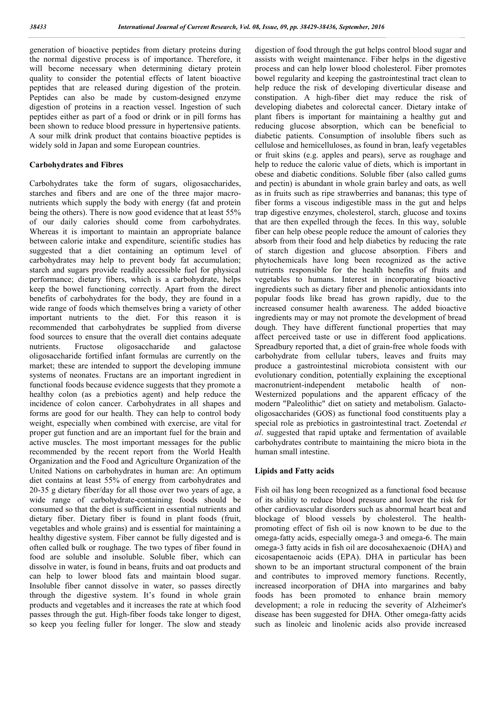generation of bioactive peptides from dietary proteins during the normal digestive process is of importance. Therefore, it will become necessary when determining dietary protein quality to consider the potential effects of latent bioactive peptides that are released during digestion of the protein. Peptides can also be made by custom-designed enzyme digestion of proteins in a reaction vessel. Ingestion of such peptides either as part of a food or drink or in pill forms has been shown to reduce blood pressure in hypertensive patients. A sour milk drink product that contains bioactive peptides is widely sold in Japan and some European countries.

### Carbohydrates and Fibres

Carbohydrates take the form of sugars, oligosaccharides, starches and fibers and are one of the three major macronutrients which supply the body with energy (fat and protein being the others). There is now good evidence that at least 55% of our daily calories should come from carbohydrates. Whereas it is important to maintain an appropriate balance between calorie intake and expenditure, scientific studies has suggested that a diet containing an optimum level of carbohydrates may help to prevent body fat accumulation; starch and sugars provide readily accessible fuel for physical performance; dietary fibers, which is a carbohydrate, helps keep the bowel functioning correctly. Apart from the direct benefits of carbohydrates for the body, they are found in a wide range of foods which themselves bring a variety of other important nutrients to the diet. For this reason it is recommended that carbohydrates be supplied from diverse food sources to ensure that the overall diet contains adequate nutrients. Fructose oligosaccharide and galactose oligosaccharide fortified infant formulas are currently on the market; these are intended to support the developing immune systems of neonates. Fructans are an important ingredient in functional foods because evidence suggests that they promote a healthy colon (as a prebiotics agent) and help reduce the incidence of colon cancer. Carbohydrates in all shapes and forms are good for our health. They can help to control body weight, especially when combined with exercise, are vital for proper gut function and are an important fuel for the brain and active muscles. The most important messages for the public recommended by the recent report from the World Health Organization and the Food and Agriculture Organization of the United Nations on carbohydrates in human are: An optimum diet contains at least 55% of energy from carbohydrates and 20-35 g dietary fiber/day for all those over two years of age, a wide range of carbohydrate-containing foods should be consumed so that the diet is sufficient in essential nutrients and dietary fiber. Dietary fiber is found in plant foods (fruit, vegetables and whole grains) and is essential for maintaining a healthy digestive system. Fiber cannot be fully digested and is often called bulk or roughage. The two types of fiber found in food are soluble and insoluble. Soluble fiber, which can dissolve in water, is found in beans, fruits and oat products and can help to lower blood fats and maintain blood sugar. Insoluble fiber cannot dissolve in water, so passes directly through the digestive system. It's found in whole grain products and vegetables and it increases the rate at which food passes through the gut. High-fiber foods take longer to digest, so keep you feeling fuller for longer. The slow and steady digestion of food through the gut helps control blood sugar and assists with weight maintenance. Fiber helps in the digestive process and can help lower blood cholesterol. Fiber promotes bowel regularity and keeping the gastrointestinal tract clean to help reduce the risk of developing diverticular disease and constipation. A high-fiber diet may reduce the risk of developing diabetes and colorectal cancer. Dietary intake of plant fibers is important for maintaining a healthy gut and reducing glucose absorption, which can be beneficial to diabetic patients. Consumption of insoluble fibers such as cellulose and hemicelluloses, as found in bran, leafy vegetables or fruit skins (e.g. apples and pears), serve as roughage and help to reduce the caloric value of diets, which is important in obese and diabetic conditions. Soluble fiber (also called gums and pectin) is abundant in whole grain barley and oats, as well as in fruits such as ripe strawberries and bananas; this type of fiber forms a viscous indigestible mass in the gut and helps trap digestive enzymes, cholesterol, starch, glucose and toxins that are then expelled through the feces. In this way, soluble fiber can help obese people reduce the amount of calories they absorb from their food and help diabetics by reducing the rate of starch digestion and glucose absorption. Fibers and phytochemicals have long been recognized as the active nutrients responsible for the health benefits of fruits and vegetables to humans. Interest in incorporating bioactive ingredients such as dietary fiber and phenolic antioxidants into popular foods like bread has grown rapidly, due to the increased consumer health awareness. The added bioactive ingredients may or may not promote the development of bread dough. They have different functional properties that may affect perceived taste or use in different food applications. Spreadbury reported that, a diet of grain-free whole foods with carbohydrate from cellular tubers, leaves and fruits may produce a gastrointestinal microbiota consistent with our evolutionary condition, potentially explaining the exceptional macronutrient-independent metabolic health of non-Westernized populations and the apparent efficacy of the modern "Paleolithic" diet on satiety and metabolism. Galactooligosaccharides (GOS) as functional food constituents play a special role as prebiotics in gastrointestinal tract. Zoetendal *et al*. suggested that rapid uptake and fermentation of available carbohydrates contribute to maintaining the micro biota in the human small intestine.

### Lipids and Fatty acids

Fish oil has long been recognized as a functional food because of its ability to reduce blood pressure and lower the risk for other cardiovascular disorders such as abnormal heart beat and blockage of blood vessels by cholesterol. The healthpromoting effect of fish oil is now known to be due to the omega-fatty acids, especially omega-3 and omega-6. The main omega-3 fatty acids in fish oil are docosahexaenoic (DHA) and eicosapentaenoic acids (EPA). DHA in particular has been shown to be an important structural component of the brain and contributes to improved memory functions. Recently, increased incorporation of DHA into margarines and baby foods has been promoted to enhance brain memory development; a role in reducing the severity of Alzheimer's disease has been suggested for DHA. Other omega-fatty acids such as linoleic and linolenic acids also provide increased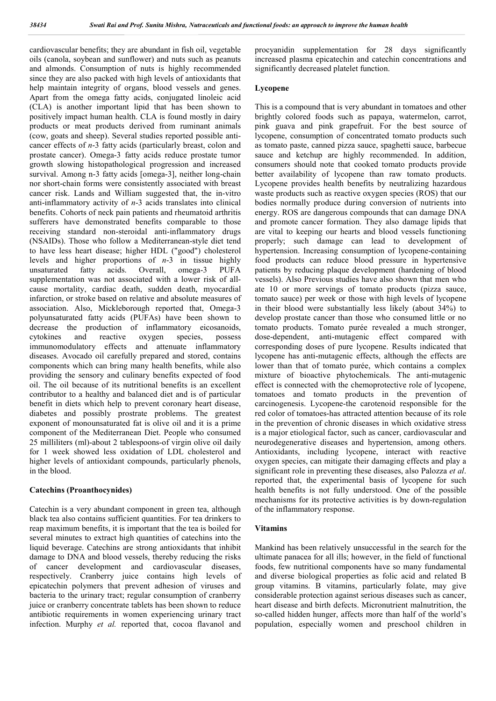cardiovascular benefits; they are abundant in fish oil, vegetable oils (canola, soybean and sunflower) and nuts such as peanuts and almonds. Consumption of nuts is highly recommended since they are also packed with high levels of antioxidants that help maintain integrity of organs, blood vessels and genes. Apart from the omega fatty acids, conjugated linoleic acid (CLA) is another important lipid that has been shown to positively impact human health. CLA is found mostly in dairy products or meat products derived from ruminant animals (cow, goats and sheep). Several studies reported possible anticancer effects of *n*-3 fatty acids (particularly breast, colon and prostate cancer). Omega-3 fatty acids reduce prostate tumor growth slowing histopathological progression and increased survival. Among n-3 fatty acids [omega-3], neither long-chain nor short-chain forms were consistently associated with breast cancer risk. Lands and William suggested that, the in-vitro anti-inflammatory activity of *n*-3 acids translates into clinical benefits. Cohorts of neck pain patients and rheumatoid arthritis sufferers have demonstrated benefits comparable to those receiving standard non-steroidal anti-inflammatory drugs (NSAIDs). Those who follow a Mediterranean-style diet tend to have less heart disease; higher HDL ("good") cholesterol levels and higher proportions of *n*-3 in tissue highly unsaturated fatty acids. Overall, omega-3 PUFA supplementation was not associated with a lower risk of allcause mortality, cardiac death, sudden death, myocardial infarction, or stroke based on relative and absolute measures of association. Also, Mickleborough reported that, Omega-3 polyunsaturated fatty acids (PUFAs) have been shown to decrease the production of inflammatory eicosanoids, cytokines and reactive oxygen species, possess immunomodulatory effects and attenuate inflammatory diseases. Avocado oil carefully prepared and stored, contains components which can bring many health benefits, while also providing the sensory and culinary benefits expected of food oil. The oil because of its nutritional benefits is an excellent contributor to a healthy and balanced diet and is of particular benefit in diets which help to prevent coronary heart disease, diabetes and possibly prostrate problems. The greatest exponent of monounsaturated fat is olive oil and it is a prime component of the Mediterranean Diet. People who consumed 25 milliliters (ml)-about 2 tablespoons-of virgin olive oil daily for 1 week showed less oxidation of LDL cholesterol and higher levels of antioxidant compounds, particularly phenols, in the blood.

### Catechins (Proanthocynides)

Catechin is a very abundant component in green tea, although black tea also contains sufficient quantities. For tea drinkers to reap maximum benefits, it is important that the tea is boiled for several minutes to extract high quantities of catechins into the liquid beverage. Catechins are strong antioxidants that inhibit damage to DNA and blood vessels, thereby reducing the risks of cancer development and cardiovascular diseases, respectively. Cranberry juice contains high levels of epicatechin polymers that prevent adhesion of viruses and bacteria to the urinary tract; regular consumption of cranberry juice or cranberry concentrate tablets has been shown to reduce antibiotic requirements in women experiencing urinary tract infection. Murphy *et al.* reported that, cocoa flavanol and

procyanidin supplementation for 28 days significantly increased plasma epicatechin and catechin concentrations and significantly decreased platelet function.

### Lycopene

This is a compound that is very abundant in tomatoes and other brightly colored foods such as papaya, watermelon, carrot, pink guava and pink grapefruit. For the best source of lycopene, consumption of concentrated tomato products such as tomato paste, canned pizza sauce, spaghetti sauce, barbecue sauce and ketchup are highly recommended. In addition, consumers should note that cooked tomato products provide better availability of lycopene than raw tomato products. Lycopene provides health benefits by neutralizing hazardous waste products such as reactive oxygen species (ROS) that our bodies normally produce during conversion of nutrients into energy. ROS are dangerous compounds that can damage DNA and promote cancer formation. They also damage lipids that are vital to keeping our hearts and blood vessels functioning properly; such damage can lead to development of hypertension. Increasing consumption of lycopene-containing food products can reduce blood pressure in hypertensive patients by reducing plaque development (hardening of blood vessels). Also Previous studies have also shown that men who ate 10 or more servings of tomato products (pizza sauce, tomato sauce) per week or those with high levels of lycopene in their blood were substantially less likely (about 34%) to develop prostate cancer than those who consumed little or no tomato products. Tomato purée revealed a much stronger, dose-dependent, anti-mutagenic effect compared with corresponding doses of pure lycopene. Results indicated that lycopene has anti-mutagenic effects, although the effects are lower than that of tomato purée, which contains a complex mixture of bioactive phytochemicals. The anti-mutagenic effect is connected with the chemoprotective role of lycopene, tomatoes and tomato products in the prevention of carcinogenesis. Lycopene-the carotenoid responsible for the red color of tomatoes-has attracted attention because of its role in the prevention of chronic diseases in which oxidative stress is a major etiological factor, such as cancer, cardiovascular and neurodegenerative diseases and hypertension, among others. Antioxidants, including lycopene, interact with reactive oxygen species, can mitigate their damaging effects and play a significant role in preventing these diseases, also Palozza *et al*. reported that, the experimental basis of lycopene for such health benefits is not fully understood. One of the possible mechanisms for its protective activities is by down-regulation of the inflammatory response.

### Vitamins

Mankind has been relatively unsuccessful in the search for the ultimate panacea for all ills; however, in the field of functional foods, few nutritional components have so many fundamental and diverse biological properties as folic acid and related B group vitamins. B vitamins, particularly folate, may give considerable protection against serious diseases such as cancer, heart disease and birth defects. Micronutrient malnutrition, the so-called hidden hunger, affects more than half of the world's population, especially women and preschool children in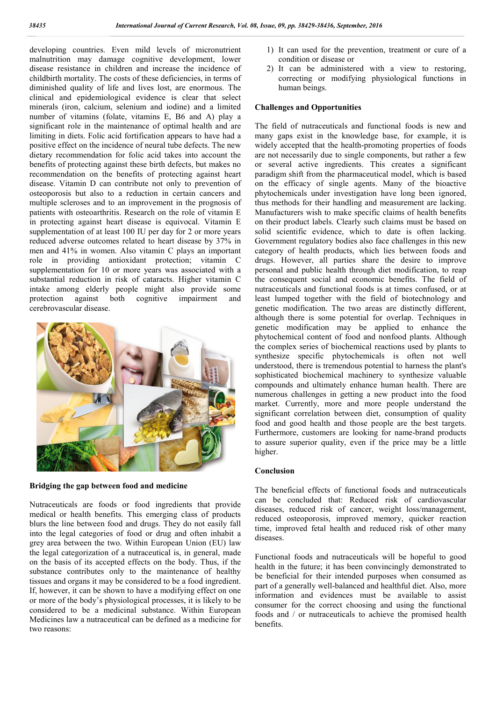developing countries. Even mild levels of micronutrient malnutrition may damage cognitive development, lower disease resistance in children and increase the incidence of childbirth mortality. The costs of these deficiencies, in terms of diminished quality of life and lives lost, are enormous. The clinical and epidemiological evidence is clear that select minerals (iron, calcium, selenium and iodine) and a limited number of vitamins (folate, vitamins E, B6 and A) play a significant role in the maintenance of optimal health and are limiting in diets. Folic acid fortification appears to have had a positive effect on the incidence of neural tube defects. The new dietary recommendation for folic acid takes into account the benefits of protecting against these birth defects, but makes no recommendation on the benefits of protecting against heart disease. Vitamin D can contribute not only to prevention of osteoporosis but also to a reduction in certain cancers and multiple scleroses and to an improvement in the prognosis of patients with osteoarthritis. Research on the role of vitamin E in protecting against heart disease is equivocal. Vitamin E supplementation of at least 100 IU per day for 2 or more years reduced adverse outcomes related to heart disease by 37% in men and 41% in women. Also vitamin C plays an important role in providing antioxidant protection; vitamin C supplementation for 10 or more years was associated with a substantial reduction in risk of cataracts. Higher vitamin C intake among elderly people might also provide some protection against both cognitive impairment and cerebrovascular disease.



Bridging the gap between food and medicine

Nutraceuticals are foods or food ingredients that provide medical or health benefits. This emerging class of products blurs the line between food and drugs. They do not easily fall into the legal categories of food or drug and often inhabit a grey area between the two. Within European Union (EU) law the legal categorization of a nutraceutical is, in general, made on the basis of its accepted effects on the body. Thus, if the substance contributes only to the maintenance of healthy tissues and organs it may be considered to be a food ingredient. If, however, it can be shown to have a modifying effect on one or more of the body's physiological processes, it is likely to be considered to be a medicinal substance. Within European Medicines law a nutraceutical can be defined as a medicine for two reasons:

- 1) It can used for the prevention, treatment or cure of a condition or disease or
- 2) It can be administered with a view to restoring, correcting or modifying physiological functions in human beings.

### Challenges and Opportunities

The field of nutraceuticals and functional foods is new and many gaps exist in the knowledge base, for example, it is widely accepted that the health-promoting properties of foods are not necessarily due to single components, but rather a few or several active ingredients. This creates a significant paradigm shift from the pharmaceutical model, which is based on the efficacy of single agents. Many of the bioactive phytochemicals under investigation have long been ignored, thus methods for their handling and measurement are lacking. Manufacturers wish to make specific claims of health benefits on their product labels. Clearly such claims must be based on solid scientific evidence, which to date is often lacking. Government regulatory bodies also face challenges in this new category of health products, which lies between foods and drugs. However, all parties share the desire to improve personal and public health through diet modification, to reap the consequent social and economic benefits. The field of nutraceuticals and functional foods is at times confused, or at least lumped together with the field of biotechnology and genetic modification. The two areas are distinctly different, although there is some potential for overlap. Techniques in genetic modification may be applied to enhance the phytochemical content of food and nonfood plants. Although the complex series of biochemical reactions used by plants to synthesize specific phytochemicals is often not well understood, there is tremendous potential to harness the plant's sophisticated biochemical machinery to synthesize valuable compounds and ultimately enhance human health. There are numerous challenges in getting a new product into the food market. Currently, more and more people understand the significant correlation between diet, consumption of quality food and good health and those people are the best targets. Furthermore, customers are looking for name-brand products to assure superior quality, even if the price may be a little higher.

### Conclusion

The beneficial effects of functional foods and nutraceuticals can be concluded that: Reduced risk of cardiovascular diseases, reduced risk of cancer, weight loss/management, reduced osteoporosis, improved memory, quicker reaction time, improved fetal health and reduced risk of other many diseases.

Functional foods and nutraceuticals will be hopeful to good health in the future; it has been convincingly demonstrated to be beneficial for their intended purposes when consumed as part of a generally well-balanced and healthful diet. Also, more information and evidences must be available to assist consumer for the correct choosing and using the functional foods and / or nutraceuticals to achieve the promised health benefits.